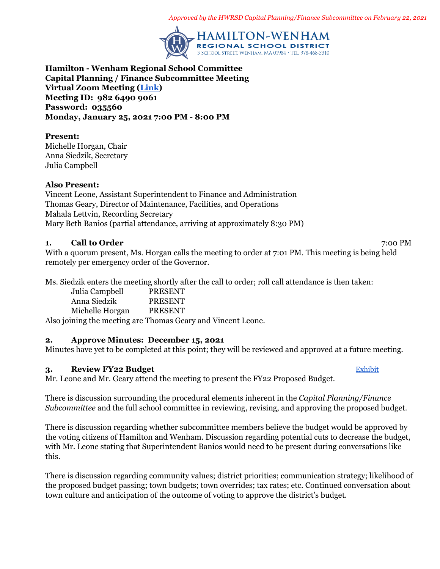*Approved by the HWRSD Capital Planning/Finance Subcommittee on February 22, 2021*



**Hamilton - Wenham Regional School Committee Capital Planning / Finance Subcommittee Meeting Virtual Zoom Meeting ([Link](https://zoom.us/j/98264909061?pwd=NDZvb2xQeVJiY1d4c1VwWWljRmZPZz09)) Meeting ID: 982 6490 9061 Password: 035560 Monday, January 25, 2021 7:00 PM - 8:00 PM**

#### **Present:**

Michelle Horgan, Chair Anna Siedzik, Secretary Julia Campbell

### **Also Present:**

Vincent Leone, Assistant Superintendent to Finance and Administration Thomas Geary, Director of Maintenance, Facilities, and Operations Mahala Lettvin, Recording Secretary Mary Beth Banios (partial attendance, arriving at approximately 8:30 PM)

### **1. Call to Order** 7:00 PM

With a quorum present, Ms. Horgan calls the meeting to order at 7:01 PM. This meeting is being held remotely per emergency order of the Governor.

Ms. Siedzik enters the meeting shortly after the call to order; roll call attendance is then taken:

| Julia Campbell  | <b>PRESENT</b> |
|-----------------|----------------|
| Anna Siedzik    | <b>PRESENT</b> |
| Michelle Horgan | <b>PRESENT</b> |

Also joining the meeting are Thomas Geary and Vincent Leone.

# **2. Approve Minutes: December 15, 2021**

Minutes have yet to be completed at this point; they will be reviewed and approved at a future meeting.

# **3. Review FY22 Budget** [Exhibit](https://drive.google.com/file/d/1aCqQneZlRKMVq2c1U21nSMMJhxq9Lm6h/view?usp=drivesdk)

Mr. Leone and Mr. Geary attend the meeting to present the FY22 Proposed Budget.

There is discussion surrounding the procedural elements inherent in the *Capital Planning/Finance Subcommittee* and the full school committee in reviewing, revising, and approving the proposed budget.

There is discussion regarding whether subcommittee members believe the budget would be approved by the voting citizens of Hamilton and Wenham. Discussion regarding potential cuts to decrease the budget, with Mr. Leone stating that Superintendent Banios would need to be present during conversations like this.

There is discussion regarding community values; district priorities; communication strategy; likelihood of the proposed budget passing; town budgets; town overrides; tax rates; etc. Continued conversation about town culture and anticipation of the outcome of voting to approve the district's budget.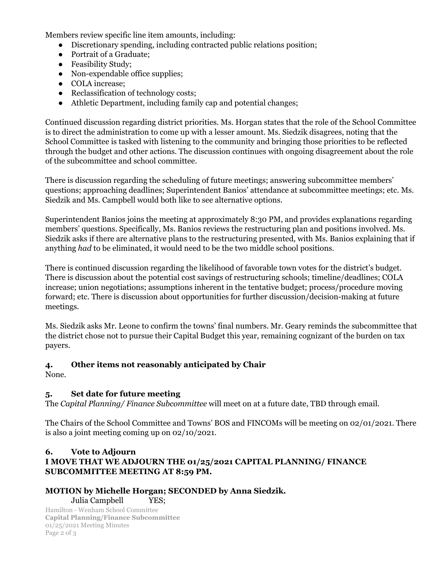Members review specific line item amounts, including:

- Discretionary spending, including contracted public relations position;
- Portrait of a Graduate;
- Feasibility Study;
- Non-expendable office supplies;
- COLA increase;
- Reclassification of technology costs;
- Athletic Department, including family cap and potential changes;

Continued discussion regarding district priorities. Ms. Horgan states that the role of the School Committee is to direct the administration to come up with a lesser amount. Ms. Siedzik disagrees, noting that the School Committee is tasked with listening to the community and bringing those priorities to be reflected through the budget and other actions. The discussion continues with ongoing disagreement about the role of the subcommittee and school committee.

There is discussion regarding the scheduling of future meetings; answering subcommittee members' questions; approaching deadlines; Superintendent Banios' attendance at subcommittee meetings; etc. Ms. Siedzik and Ms. Campbell would both like to see alternative options.

Superintendent Banios joins the meeting at approximately 8:30 PM, and provides explanations regarding members' questions. Specifically, Ms. Banios reviews the restructuring plan and positions involved. Ms. Siedzik asks if there are alternative plans to the restructuring presented, with Ms. Banios explaining that if anything *had* to be eliminated, it would need to be the two middle school positions.

There is continued discussion regarding the likelihood of favorable town votes for the district's budget. There is discussion about the potential cost savings of restructuring schools; timeline/deadlines; COLA increase; union negotiations; assumptions inherent in the tentative budget; process/procedure moving forward; etc. There is discussion about opportunities for further discussion/decision-making at future meetings.

Ms. Siedzik asks Mr. Leone to confirm the towns' final numbers. Mr. Geary reminds the subcommittee that the district chose not to pursue their Capital Budget this year, remaining cognizant of the burden on tax payers.

# **4. Other items not reasonably anticipated by Chair**

None.

# **5. Set date for future meeting**

The *Capital Planning/ Finance Subcommittee* will meet on at a future date, TBD through email.

The Chairs of the School Committee and Towns' BOS and FINCOMs will be meeting on 02/01/2021. There is also a joint meeting coming up on 02/10/2021.

### **6. Vote to Adjourn I MOVE THAT WE ADJOURN THE 01/25/2021 CAPITAL PLANNING/ FINANCE SUBCOMMITTEE MEETING AT 8:59 PM.**

# **MOTION by Michelle Horgan; SECONDED by Anna Siedzik.** Julia Campbell YES;

Hamilton - Wenham School Committee **Capital Planning/Finance Subcommittee** 01/25/2021 Meeting Minutes Page 2 of 3